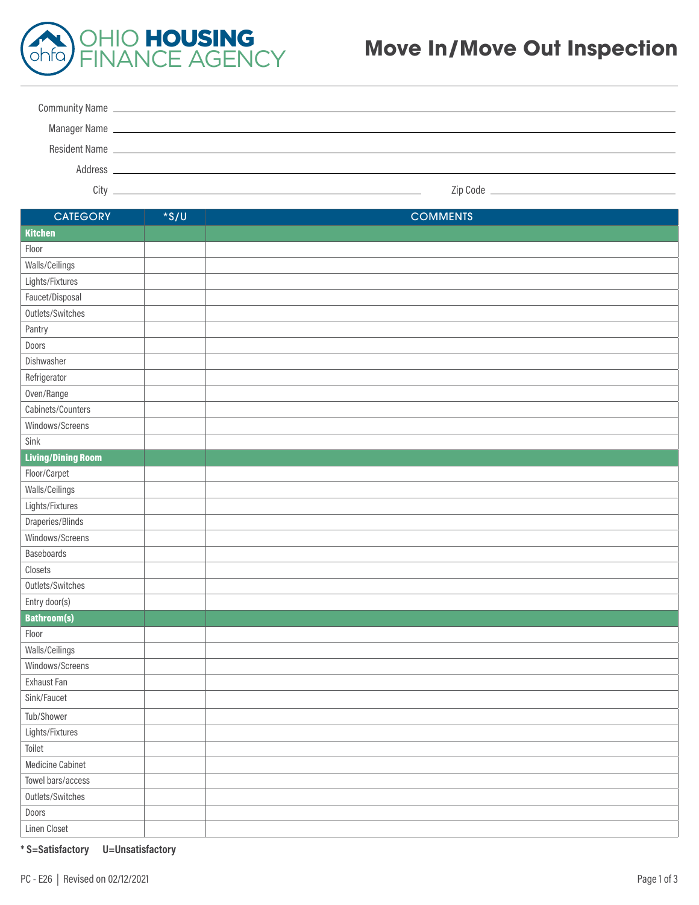

## **Move In/Move Out Inspection**

| Address | <u> 1989 - Johann Stoff, deutscher Stoffen und der Stoffen und der Stoffen und der Stoffen und der Stoffen und der</u> |
|---------|------------------------------------------------------------------------------------------------------------------------|
| Citv    |                                                                                                                        |

| <b>CATEGORY</b>           | $*$ s/U | <b>COMMENTS</b> |
|---------------------------|---------|-----------------|
| <b>Kitchen</b>            |         |                 |
| Floor                     |         |                 |
| Walls/Ceilings            |         |                 |
| Lights/Fixtures           |         |                 |
| Faucet/Disposal           |         |                 |
| Outlets/Switches          |         |                 |
| Pantry                    |         |                 |
| Doors                     |         |                 |
| Dishwasher                |         |                 |
| Refrigerator              |         |                 |
| Oven/Range                |         |                 |
| Cabinets/Counters         |         |                 |
| Windows/Screens           |         |                 |
| Sink                      |         |                 |
| <b>Living/Dining Room</b> |         |                 |
| Floor/Carpet              |         |                 |
| Walls/Ceilings            |         |                 |
| Lights/Fixtures           |         |                 |
| Draperies/Blinds          |         |                 |
| Windows/Screens           |         |                 |
| Baseboards                |         |                 |
| Closets                   |         |                 |
| Outlets/Switches          |         |                 |
| Entry door(s)             |         |                 |
| <b>Bathroom(s)</b>        |         |                 |
| Floor                     |         |                 |
| Walls/Ceilings            |         |                 |
| Windows/Screens           |         |                 |
| Exhaust Fan               |         |                 |
| Sink/Faucet               |         |                 |
| Tub/Shower                |         |                 |
| Lights/Fixtures           |         |                 |
| Toilet                    |         |                 |
| Medicine Cabinet          |         |                 |
| Towel bars/access         |         |                 |
| Outlets/Switches          |         |                 |
| Doors                     |         |                 |
| Linen Closet              |         |                 |

**\* S=Satisfactory U=Unsatisfactory**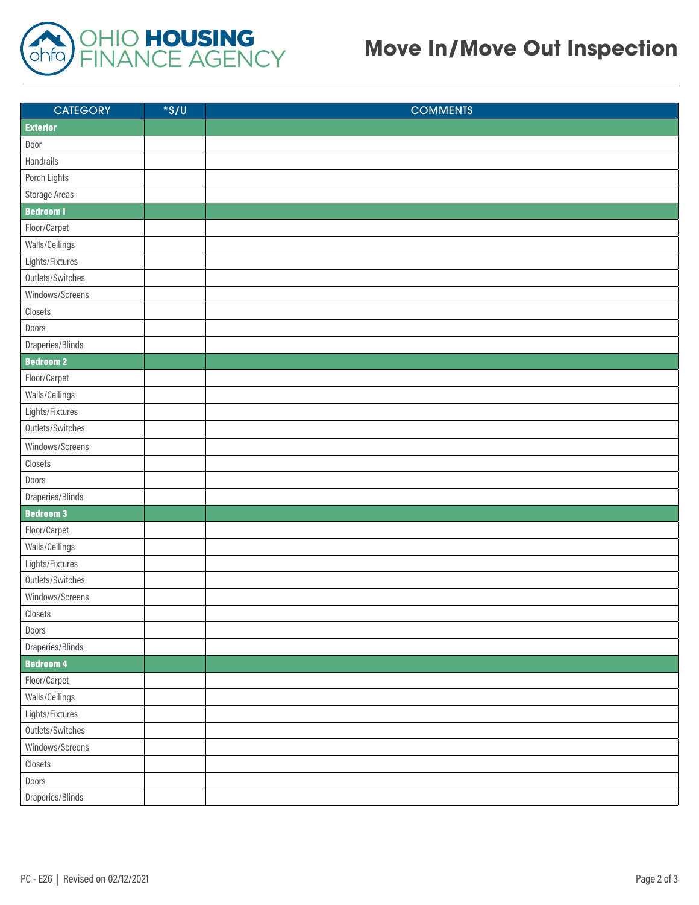

## **Move In/Move Out Inspection**

| <b>CATEGORY</b>  | $*$ S/U | <b>COMMENTS</b> |
|------------------|---------|-----------------|
| <b>Exterior</b>  |         |                 |
| Door             |         |                 |
| Handrails        |         |                 |
| Porch Lights     |         |                 |
| Storage Areas    |         |                 |
| <b>Bedroom1</b>  |         |                 |
| Floor/Carpet     |         |                 |
| Walls/Ceilings   |         |                 |
| Lights/Fixtures  |         |                 |
| Outlets/Switches |         |                 |
| Windows/Screens  |         |                 |
| Closets          |         |                 |
| Doors            |         |                 |
| Draperies/Blinds |         |                 |
| <b>Bedroom 2</b> |         |                 |
| Floor/Carpet     |         |                 |
| Walls/Ceilings   |         |                 |
| Lights/Fixtures  |         |                 |
| Outlets/Switches |         |                 |
| Windows/Screens  |         |                 |
| Closets          |         |                 |
| Doors            |         |                 |
| Draperies/Blinds |         |                 |
| <b>Bedroom 3</b> |         |                 |
| Floor/Carpet     |         |                 |
| Walls/Ceilings   |         |                 |
| Lights/Fixtures  |         |                 |
| Outlets/Switches |         |                 |
| Windows/Screens  |         |                 |
| Closets          |         |                 |
| Doors            |         |                 |
| Draperies/Blinds |         |                 |
| <b>Bedroom 4</b> |         |                 |
| Floor/Carpet     |         |                 |
| Walls/Ceilings   |         |                 |
| Lights/Fixtures  |         |                 |
| Outlets/Switches |         |                 |
| Windows/Screens  |         |                 |
| Closets          |         |                 |
| Doors            |         |                 |
| Draperies/Blinds |         |                 |